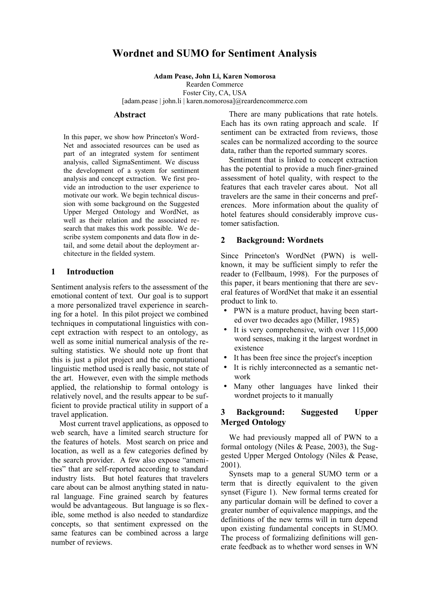# **Wordnet and SUMO for Sentiment Analysis**

**Adam Pease, John Li, Karen Nomorosa**

Rearden Commerce

Foster City, CA, USA [adam.pease | john.li | karen.nomorosa]@reardencommerce.com

#### **Abstract**

In this paper, we show how Princeton's Word-Net and associated resources can be used as part of an integrated system for sentiment analysis, called SigmaSentiment. We discuss the development of a system for sentiment analysis and concept extraction. We first provide an introduction to the user experience to motivate our work. We begin technical discussion with some background on the Suggested Upper Merged Ontology and WordNet, as well as their relation and the associated research that makes this work possible. We describe system components and data flow in detail, and some detail about the deployment architecture in the fielded system.

#### **1 Introduction**

Sentiment analysis refers to the assessment of the emotional content of text. Our goal is to support a more personalized travel experience in searching for a hotel. In this pilot project we combined techniques in computational linguistics with concept extraction with respect to an ontology, as well as some initial numerical analysis of the resulting statistics. We should note up front that this is just a pilot project and the computational linguistic method used is really basic, not state of the art. However, even with the simple methods applied, the relationship to formal ontology is relatively novel, and the results appear to be sufficient to provide practical utility in support of a travel application.

Most current travel applications, as opposed to web search, have a limited search structure for the features of hotels. Most search on price and location, as well as a few categories defined by the search provider. A few also expose "amenities" that are self-reported according to standard industry lists. But hotel features that travelers care about can be almost anything stated in natural language. Fine grained search by features would be advantageous. But language is so flexible, some method is also needed to standardize concepts, so that sentiment expressed on the same features can be combined across a large number of reviews.

There are many publications that rate hotels. Each has its own rating approach and scale. If sentiment can be extracted from reviews, those scales can be normalized according to the source data, rather than the reported summary scores.

Sentiment that is linked to concept extraction has the potential to provide a much finer-grained assessment of hotel quality, with respect to the features that each traveler cares about. Not all travelers are the same in their concerns and preferences. More information about the quality of hotel features should considerably improve customer satisfaction.

### **2 Background: Wordnets**

Since Princeton's WordNet (PWN) is wellknown, it may be sufficient simply to refer the reader to (Fellbaum, 1998). For the purposes of this paper, it bears mentioning that there are several features of WordNet that make it an essential product to link to.

- PWN is a mature product, having been started over two decades ago (Miller, 1985)
- It is very comprehensive, with over 115,000 word senses, making it the largest wordnet in existence
- It has been free since the project's inception
- It is richly interconnected as a semantic network
- Many other languages have linked their wordnet projects to it manually

## **3 Background: Suggested Upper Merged Ontology**

We had previously mapped all of PWN to a formal ontology (Niles & Pease, 2003), the Suggested Upper Merged Ontology (Niles & Pease, 2001).

Synsets map to a general SUMO term or a term that is directly equivalent to the given synset (Figure 1). New formal terms created for any particular domain will be defined to cover a greater number of equivalence mappings, and the definitions of the new terms will in turn depend upon existing fundamental concepts in SUMO. The process of formalizing definitions will generate feedback as to whether word senses in WN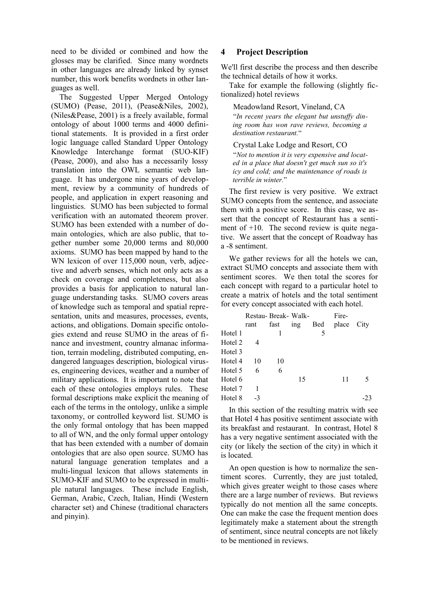need to be divided or combined and how the glosses may be clarified. Since many wordnets in other languages are already linked by synset number, this work benefits wordnets in other languages as well.

The Suggested Upper Merged Ontology (SUMO) (Pease, 2011), (Pease&Niles, 2002), (Niles&Pease, 2001) is a freely available, formal ontology of about 1000 terms and 4000 definitional statements. It is provided in a first order logic language called Standard Upper Ontology Knowledge Interchange format (SUO-KIF) (Pease, 2000), and also has a necessarily lossy translation into the OWL semantic web language. It has undergone nine years of development, review by a community of hundreds of people, and application in expert reasoning and linguistics. SUMO has been subjected to formal verification with an automated theorem prover. SUMO has been extended with a number of domain ontologies, which are also public, that together number some 20,000 terms and 80,000 axioms. SUMO has been mapped by hand to the WN lexicon of over 115,000 noun, verb, adjective and adverb senses, which not only acts as a check on coverage and completeness, but also provides a basis for application to natural language understanding tasks. SUMO covers areas of knowledge such as temporal and spatial representation, units and measures, processes, events, actions, and obligations. Domain specific ontologies extend and reuse SUMO in the areas of finance and investment, country almanac information, terrain modeling, distributed computing, endangered languages description, biological viruses, engineering devices, weather and a number of military applications. It is important to note that each of these ontologies employs rules. These formal descriptions make explicit the meaning of each of the terms in the ontology, unlike a simple taxonomy, or controlled keyword list. SUMO is the only formal ontology that has been mapped to all of WN, and the only formal upper ontology that has been extended with a number of domain ontologies that are also open source. SUMO has natural language generation templates and a multi-lingual lexicon that allows statements in SUMO-KIF and SUMO to be expressed in multiple natural languages. These include English, German, Arabic, Czech, Italian, Hindi (Western character set) and Chinese (traditional characters and pinyin).

### **4 Project Description**

We'll first describe the process and then describe the technical details of how it works.

Take for example the following (slightly fictionalized) hotel reviews

#### Meadowland Resort, Vineland, CA

"*In recent years the elegant but unstuffy dining room has won rave reviews, becoming a destination restaurant.*"

#### Crystal Lake Lodge and Resort, CO

"*Not to mention it is very expensive and located in a place that doesn't get much sun so it's icy and cold; and the maintenance of roads is terrible in winter.*"

The first review is very positive. We extract SUMO concepts from the sentence, and associate them with a positive score. In this case, we assert that the concept of Restaurant has a sentiment of +10. The second review is quite negative. We assert that the concept of Roadway has a -8 sentiment.

We gather reviews for all the hotels we can, extract SUMO concepts and associate them with sentiment scores. We then total the scores for each concept with regard to a particular hotel to create a matrix of hotels and the total sentiment for every concept associated with each hotel.

|      |      |     |                    | Fire- |      |
|------|------|-----|--------------------|-------|------|
| rant | fast | ing | Bed                | place | City |
|      | 1    |     | 5                  |       |      |
|      |      |     |                    |       |      |
|      |      |     |                    |       |      |
| 10   | 10   |     |                    |       |      |
| 6    | 6    |     |                    |       |      |
|      |      | 15  |                    | 11    | 5    |
| 1    |      |     |                    |       |      |
| $-3$ |      |     |                    |       |      |
|      |      |     | Restau-Break-Walk- |       |      |

In this section of the resulting matrix with see that Hotel 4 has positive sentiment associate with its breakfast and restaurant. In contrast, Hotel 8 has a very negative sentiment associated with the city (or likely the section of the city) in which it is located.

An open question is how to normalize the sentiment scores. Currently, they are just totaled, which gives greater weight to those cases where there are a large number of reviews. But reviews typically do not mention all the same concepts. One can make the case the frequent mention does legitimately make a statement about the strength of sentiment, since neutral concepts are not likely to be mentioned in reviews.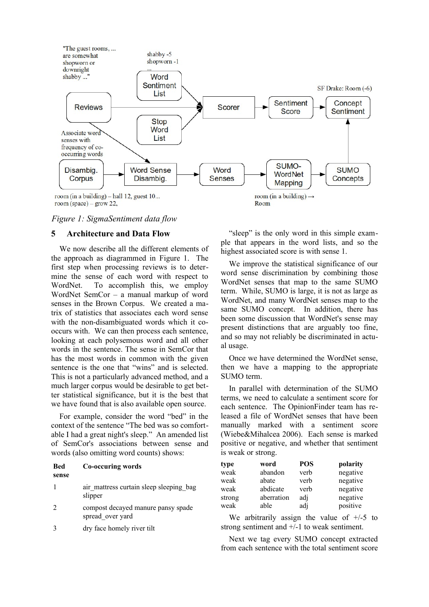

<span id="page-2-0"></span>*Figure 1: SigmaSentiment data flow*

### **5 Architecture and Data Flow**

We now describe all the different elements of the approach as diagrammed in [Figure 1.](#page-2-0) The first step when processing reviews is to determine the sense of each word with respect to WordNet. To accomplish this, we employ WordNet SemCor – a manual markup of word senses in the Brown Corpus. We created a matrix of statistics that associates each word sense with the non-disambiguated words which it cooccurs with. We can then process each sentence, looking at each polysemous word and all other words in the sentence. The sense in SemCor that has the most words in common with the given sentence is the one that "wins" and is selected. This is not a particularly advanced method, and a much larger corpus would be desirable to get better statistical significance, but it is the best that we have found that is also available open source.

For example, consider the word "bed" in the context of the sentence "The bed was so comfortable I had a great night's sleep." An amended list of SemCor's associations between sense and words (also omitting word counts) shows:

#### **Bed sense Co-occuring words**

- 1 air mattress curtain sleep sleeping bag slipper
- 2 compost decayed manure pansy spade spread\_over yard
- 3 dry face homely river tilt

"sleep" is the only word in this simple example that appears in the word lists, and so the highest associated score is with sense 1.

We improve the statistical significance of our word sense discrimination by combining those WordNet senses that map to the same SUMO term. While, SUMO is large, it is not as large as WordNet, and many WordNet senses map to the same SUMO concept. In addition, there has been some discussion that WordNet's sense may present distinctions that are arguably too fine, and so may not reliably be discriminated in actual usage.

Once we have determined the WordNet sense, then we have a mapping to the appropriate SUMO term.

In parallel with determination of the SUMO terms, we need to calculate a sentiment score for each sentence. The OpinionFinder team has released a file of WordNet senses that have been manually marked with a sentiment score (Wiebe&Mihalcea 2006). Each sense is marked positive or negative, and whether that sentiment is weak or strong.

| type   | word       | <b>POS</b> | polarity |
|--------|------------|------------|----------|
| weak   | abandon    | verb       | negative |
| weak   | abate      | verb       | negative |
| weak   | abdicate   | verb       | negative |
| strong | aberration | adj        | negative |
| weak   | able       | adj        | positive |

We arbitrarily assign the value of  $+/-5$  to strong sentiment and +/-1 to weak sentiment.

Next we tag every SUMO concept extracted from each sentence with the total sentiment score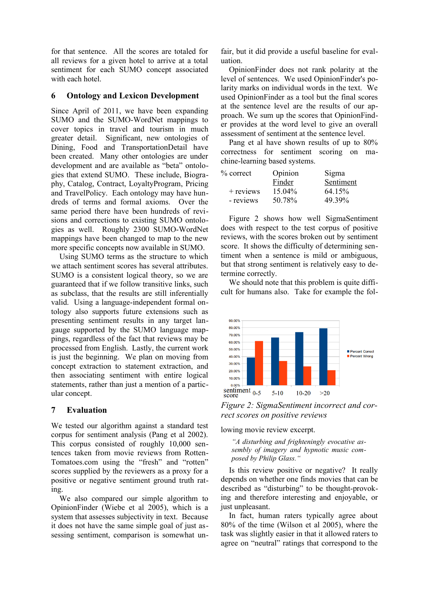for that sentence. All the scores are totaled for all reviews for a given hotel to arrive at a total sentiment for each SUMO concept associated with each hotel.

### **6 Ontology and Lexicon Development**

Since April of 2011, we have been expanding SUMO and the SUMO-WordNet mappings to cover topics in travel and tourism in much greater detail. Significant, new ontologies of Dining, Food and TransportationDetail have been created. Many other ontologies are under development and are available as "beta" ontologies that extend SUMO. These include, Biography, Catalog, Contract, LoyaltyProgram, Pricing and TravelPolicy. Each ontology may have hundreds of terms and formal axioms. Over the same period there have been hundreds of revisions and corrections to existing SUMO ontologies as well. Roughly 2300 SUMO-WordNet mappings have been changed to map to the new more specific concepts now available in SUMO.

Using SUMO terms as the structure to which we attach sentiment scores has several attributes. SUMO is a consistent logical theory, so we are guaranteed that if we follow transitive links, such as subclass, that the results are still inferentially valid. Using a language-independent formal ontology also supports future extensions such as presenting sentiment results in any target langauge supported by the SUMO language mappings, regardless of the fact that reviews may be processed from English. Lastly, the current work is just the beginning. We plan on moving from concept extraction to statement extraction, and then associating sentiment with entire logical statements, rather than just a mention of a particular concept.

# **7 Evaluation**

We tested our algorithm against a standard test corpus for sentiment analysis (Pang et al 2002). This corpus consisted of roughly 10,000 sentences taken from movie reviews from Rotten-Tomatoes.com using the "fresh" and "rotten" scores supplied by the reviewers as a proxy for a positive or negative sentiment ground truth rating.

We also compared our simple algorithm to OpinionFinder (Wiebe et al 2005), which is a system that assesses subjectivity in text. Because it does not have the same simple goal of just assessing sentiment, comparison is somewhat unfair, but it did provide a useful baseline for evaluation.

OpinionFinder does not rank polarity at the level of sentences. We used OpinionFinder's polarity marks on individual words in the text. We used OpinionFinder as a tool but the final scores at the sentence level are the results of our approach. We sum up the scores that OpinionFinder provides at the word level to give an overall assessment of sentiment at the sentence level.

Pang et al have shown results of up to 80% correctness for sentiment scoring on machine-learning based systems.

| % correct   | Opinion | Sigma     |
|-------------|---------|-----------|
|             | Finder  | Sentiment |
| $+$ reviews | 15.04%  | 64.15%    |
| - reviews   | 50.78%  | 49.39%    |

[Figure 2](#page-3-0) shows how well SigmaSentiment does with respect to the test corpus of positive reviews, with the scores broken out by sentiment score. It shows the difficulty of determining sentiment when a sentence is mild or ambiguous, but that strong sentiment is relatively easy to determine correctly.

We should note that this problem is quite difficult for humans also. Take for example the fol-



<span id="page-3-0"></span>

lowing movie review excerpt.

*"A disturbing and frighteningly evocative assembly of imagery and hypnotic music composed by Philip Glass."*

Is this review positive or negative? It really depends on whether one finds movies that can be described as "disturbing" to be thought-provoking and therefore interesting and enjoyable, or just unpleasant.

In fact, human raters typically agree about 80% of the time (Wilson et al 2005), where the task was slightly easier in that it allowed raters to agree on "neutral" ratings that correspond to the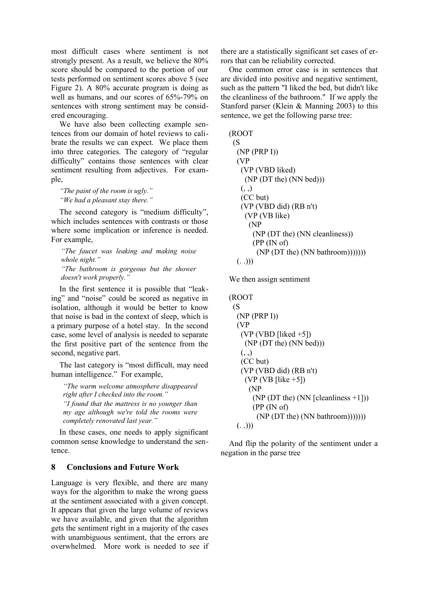most difficult cases where sentiment is not strongly present. As a result, we believe the 80% score should be compared to the portion of our tests performed on sentiment scores above 5 (see [Figure 2\)](#page-3-0). A 80% accurate program is doing as well as humans, and our scores of 65%-79% on sentences with strong sentiment may be considered encouraging.

We have also been collecting example sentences from our domain of hotel reviews to calibrate the results we can expect. We place them into three categories. The category of "regular difficulty" contains those sentences with clear sentiment resulting from adjectives. For example,

*"The paint of the room is ugly." "We had a pleasant stay there."*

The second category is "medium difficulty", which includes sentences with contrasts or those where some implication or inference is needed. For example,

*"The faucet was leaking and making noise whole night." "The bathroom is gorgeous but the shower doesn't work properly."*

In the first sentence it is possible that "leaking" and "noise" could be scored as negative in isolation, although it would be better to know that noise is bad in the context of sleep, which is a primary purpose of a hotel stay. In the second case, some level of analysis is needed to separate the first positive part of the sentence from the second, negative part.

The last category is "most difficult, may need human intelligence." For example,

*"The warm welcome atmosphere disappeared right after I checked into the room."*

*"I found that the mattress is no younger than my age although we're told the rooms were completely renovated last year."*

In these cases, one needs to apply significant common sense knowledge to understand the sentence.

# **8 Conclusions and Future Work**

Language is very flexible, and there are many ways for the algorithm to make the wrong guess at the sentiment associated with a given concept. It appears that given the large volume of reviews we have available, and given that the algorithm gets the sentiment right in a majority of the cases with unambiguous sentiment, that the errors are overwhelmed. More work is needed to see if there are a statistically significant set cases of errors that can be reliability corrected.

One common error case is in sentences that are divided into positive and negative sentiment, such as the pattern "I liked the bed, but didn't like the cleanliness of the bathroom." If we apply the Stanford parser (Klein & Manning 2003) to this sentence, we get the following parse tree:

```
(ROOT
 (S
  (NP (PRP I))
  (VP
   (VP (VBD liked)
     (NP (DT the) (NN bed)))
  (, \, , ) (CC but)
   (VP (VBD did) (RB n't)
     (VP (VB like)
      (NP
       (NP (DT the) (NN cleanliness))
       (PP (IN of)
        (NP (DT the) (NN bathroom)))))))
 (. \ .))
```
We then assign sentiment

```
(ROOT
(S<sub>0</sub>) (NP (PRP I))
  (VP
  (VP (VBD [liked +5]) (NP (DT the) (NN bed)))
  (, 0, 0) (CC but)
   (VP (VBD did) (RB n't)
    (VP (VB [like +5]) (NP
       (NP (DT the) (NN [cleanliness +1]))
       (PP (IN of)
         (NP (DT the) (NN bathroom)))))))
 (. \ .))
```
And flip the polarity of the sentiment under a negation in the parse tree